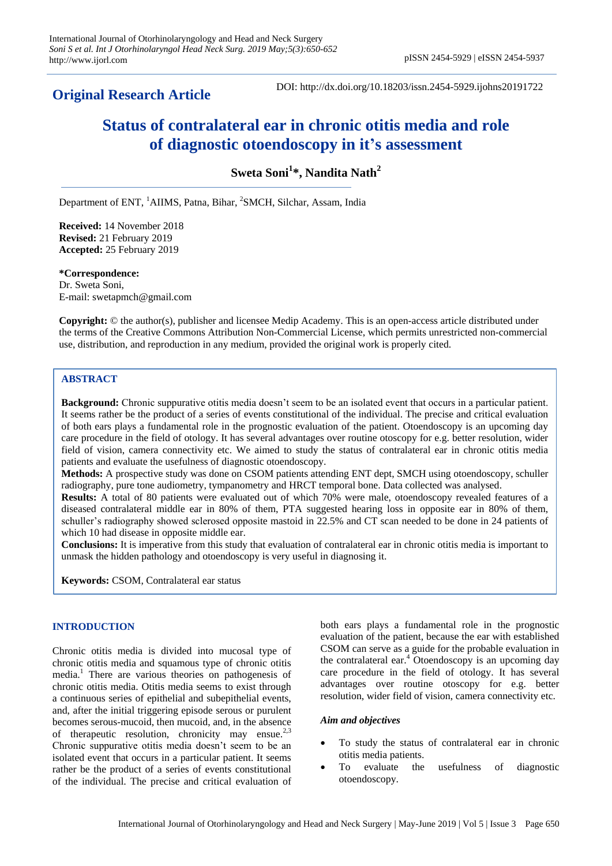# **Original Research Article**

DOI: http://dx.doi.org/10.18203/issn.2454-5929.ijohns20191722

# **Status of contralateral ear in chronic otitis media and role of diagnostic otoendoscopy in it's assessment**

**Sweta Soni<sup>1</sup> \*, Nandita Nath<sup>2</sup>**

Department of ENT, <sup>1</sup>AIIMS, Patna, Bihar, <sup>2</sup>SMCH, Silchar, Assam, India

**Received:** 14 November 2018 **Revised:** 21 February 2019 **Accepted:** 25 February 2019

**\*Correspondence:** Dr. Sweta Soni, E-mail: swetapmch@gmail.com

**Copyright:** © the author(s), publisher and licensee Medip Academy. This is an open-access article distributed under the terms of the Creative Commons Attribution Non-Commercial License, which permits unrestricted non-commercial use, distribution, and reproduction in any medium, provided the original work is properly cited.

# **ABSTRACT**

**Background:** Chronic suppurative otitis media doesn't seem to be an isolated event that occurs in a particular patient. It seems rather be the product of a series of events constitutional of the individual. The precise and critical evaluation of both ears plays a fundamental role in the prognostic evaluation of the patient. Otoendoscopy is an upcoming day care procedure in the field of otology. It has several advantages over routine otoscopy for e.g. better resolution, wider field of vision, camera connectivity etc. We aimed to study the status of contralateral ear in chronic otitis media patients and evaluate the usefulness of diagnostic otoendoscopy.

**Methods:** A prospective study was done on CSOM patients attending ENT dept, SMCH using otoendoscopy, schuller radiography, pure tone audiometry, tympanometry and HRCT temporal bone. Data collected was analysed.

**Results:** A total of 80 patients were evaluated out of which 70% were male, otoendoscopy revealed features of a diseased contralateral middle ear in 80% of them, PTA suggested hearing loss in opposite ear in 80% of them, schuller's radiography showed sclerosed opposite mastoid in 22.5% and CT scan needed to be done in 24 patients of which 10 had disease in opposite middle ear.

**Conclusions:** It is imperative from this study that evaluation of contralateral ear in chronic otitis media is important to unmask the hidden pathology and otoendoscopy is very useful in diagnosing it.

**Keywords:** CSOM, Contralateral ear status

#### **INTRODUCTION**

Chronic otitis media is divided into mucosal type of chronic otitis media and squamous type of chronic otitis media.<sup>1</sup> There are various theories on pathogenesis of chronic otitis media. Otitis media seems to exist through a continuous series of epithelial and subepithelial events, and, after the initial triggering episode serous or purulent becomes serous-mucoid, then mucoid, and, in the absence of therapeutic resolution, chronicity may ensue.<sup>2,</sup> Chronic suppurative otitis media doesn't seem to be an isolated event that occurs in a particular patient. It seems rather be the product of a series of events constitutional of the individual. The precise and critical evaluation of both ears plays a fundamental role in the prognostic evaluation of the patient, because the ear with established CSOM can serve as a guide for the probable evaluation in the contralateral ear.<sup>4</sup> Otoendoscopy is an upcoming day care procedure in the field of otology. It has several advantages over routine otoscopy for e.g. better resolution, wider field of vision, camera connectivity etc.

#### *Aim and objectives*

- To study the status of contralateral ear in chronic otitis media patients.
- To evaluate the usefulness of diagnostic otoendoscopy.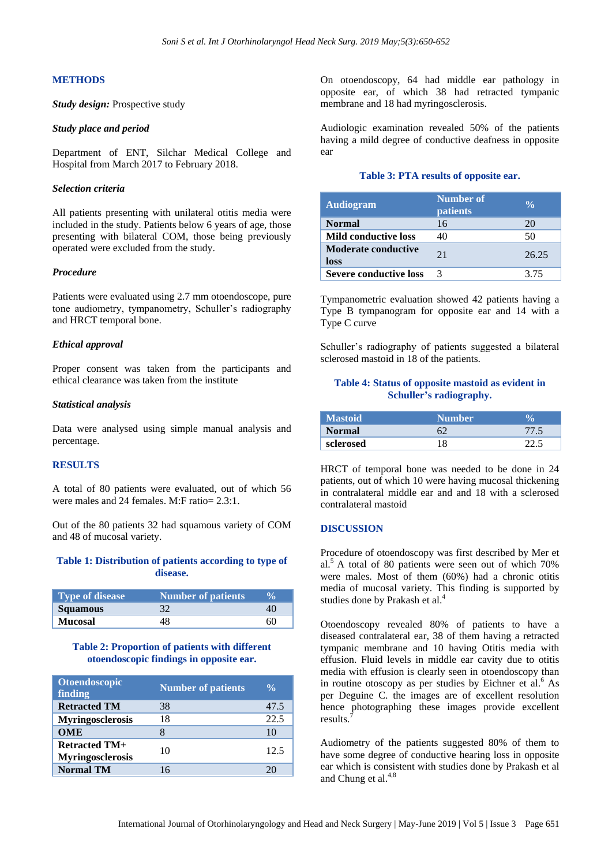# **METHODS**

*Study design:* Prospective study

#### *Study place and period*

Department of ENT, Silchar Medical College and Hospital from March 2017 to February 2018.

#### *Selection criteria*

All patients presenting with unilateral otitis media were included in the study. Patients below 6 years of age, those presenting with bilateral COM, those being previously operated were excluded from the study.

#### *Procedure*

Patients were evaluated using 2.7 mm otoendoscope, pure tone audiometry, tympanometry, Schuller's radiography and HRCT temporal bone.

#### *Ethical approval*

Proper consent was taken from the participants and ethical clearance was taken from the institute

#### *Statistical analysis*

Data were analysed using simple manual analysis and percentage.

#### **RESULTS**

A total of 80 patients were evaluated, out of which 56 were males and 24 females. M:F ratio= 2.3:1.

Out of the 80 patients 32 had squamous variety of COM and 48 of mucosal variety.

#### **Table 1: Distribution of patients according to type of disease.**

| Type of disease | Number of patients | V <sub>O</sub> |
|-----------------|--------------------|----------------|
| <b>Squamous</b> |                    |                |
| <b>Mucosal</b>  |                    |                |

#### **Table 2: Proportion of patients with different otoendoscopic findings in opposite ear.**

| <b>Otoendoscopic</b><br>finding                 | <b>Number of patients</b> | $\frac{0}{\alpha}$ |
|-------------------------------------------------|---------------------------|--------------------|
| <b>Retracted TM</b>                             | 38                        | 47.5               |
| <b>Myringosclerosis</b>                         | 18                        | 22.5               |
| <b>OME</b>                                      |                           | 10                 |
| <b>Retracted TM+</b><br><b>Myringosclerosis</b> | 10                        | 12.5               |
| <b>Normal TM</b>                                | 16                        |                    |

On otoendoscopy, 64 had middle ear pathology in opposite ear, of which 38 had retracted tympanic membrane and 18 had myringosclerosis.

Audiologic examination revealed 50% of the patients having a mild degree of conductive deafness in opposite ear

#### **Table 3: PTA results of opposite ear.**

| <b>Audiogram</b>                   | Number of<br><b>patients</b> | $\frac{0}{\alpha}$ |
|------------------------------------|------------------------------|--------------------|
| <b>Normal</b>                      | 16                           | 20                 |
| <b>Mild conductive loss</b>        | 40                           | 50                 |
| <b>Moderate conductive</b><br>loss | 21                           | 26.25              |
| <b>Severe conductive loss</b>      |                              | 3.75               |

Tympanometric evaluation showed 42 patients having a Type B tympanogram for opposite ear and 14 with a Type C curve

Schuller's radiography of patients suggested a bilateral sclerosed mastoid in 18 of the patients.

# **Table 4: Status of opposite mastoid as evident in Schuller's radiography.**

| <b>Mastoid</b> | <b>Number</b> |  |
|----------------|---------------|--|
| Normal         |               |  |
| sclerosed      |               |  |

HRCT of temporal bone was needed to be done in 24 patients, out of which 10 were having mucosal thickening in contralateral middle ear and and 18 with a sclerosed contralateral mastoid

#### **DISCUSSION**

Procedure of otoendoscopy was first described by Mer et al. <sup>5</sup> A total of 80 patients were seen out of which 70% were males. Most of them (60%) had a chronic otitis media of mucosal variety. This finding is supported by studies done by Prakash et al.<sup>4</sup>

Otoendoscopy revealed 80% of patients to have a diseased contralateral ear, 38 of them having a retracted tympanic membrane and 10 having Otitis media with effusion. Fluid levels in middle ear cavity due to otitis media with effusion is clearly seen in otoendoscopy than in routine otoscopy as per studies by Eichner et al. <sup>6</sup> As per Deguine C. the images are of excellent resolution hence photographing these images provide excellent results.<sup>7</sup>

Audiometry of the patients suggested 80% of them to have some degree of conductive hearing loss in opposite ear which is consistent with studies done by Prakash et al and Chung et al.<sup>4,8</sup>